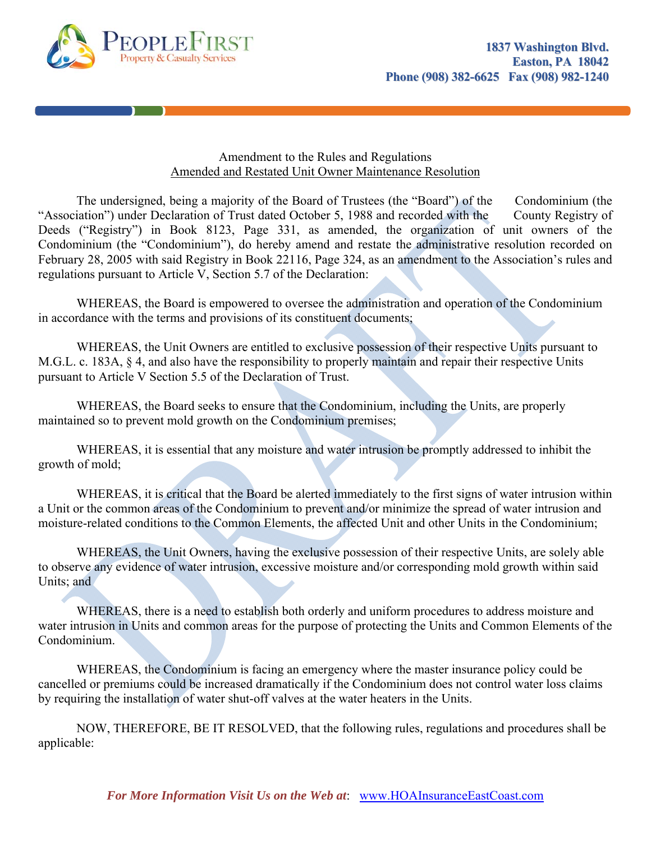

## Amendment to the Rules and Regulations Amended and Restated Unit Owner Maintenance Resolution

The undersigned, being a majority of the Board of Trustees (the "Board") of the Condominium (the "Association") under Declaration of Trust dated October 5, 1988 and recorded with the County Registry of Deeds ("Registry") in Book 8123, Page 331, as amended, the organization of unit owners of the Condominium (the "Condominium"), do hereby amend and restate the administrative resolution recorded on February 28, 2005 with said Registry in Book 22116, Page 324, as an amendment to the Association's rules and regulations pursuant to Article V, Section 5.7 of the Declaration:

 WHEREAS, the Board is empowered to oversee the administration and operation of the Condominium in accordance with the terms and provisions of its constituent documents;

WHEREAS, the Unit Owners are entitled to exclusive possession of their respective Units pursuant to M.G.L. c. 183A, § 4, and also have the responsibility to properly maintain and repair their respective Units pursuant to Article V Section 5.5 of the Declaration of Trust.

WHEREAS, the Board seeks to ensure that the Condominium, including the Units, are properly maintained so to prevent mold growth on the Condominium premises;

WHEREAS, it is essential that any moisture and water intrusion be promptly addressed to inhibit the growth of mold;

WHEREAS, it is critical that the Board be alerted immediately to the first signs of water intrusion within a Unit or the common areas of the Condominium to prevent and/or minimize the spread of water intrusion and moisture-related conditions to the Common Elements, the affected Unit and other Units in the Condominium;

 WHEREAS, the Unit Owners, having the exclusive possession of their respective Units, are solely able to observe any evidence of water intrusion, excessive moisture and/or corresponding mold growth within said Units; and

 WHEREAS, there is a need to establish both orderly and uniform procedures to address moisture and water intrusion in Units and common areas for the purpose of protecting the Units and Common Elements of the Condominium.

 WHEREAS, the Condominium is facing an emergency where the master insurance policy could be cancelled or premiums could be increased dramatically if the Condominium does not control water loss claims by requiring the installation of water shut-off valves at the water heaters in the Units.

 NOW, THEREFORE, BE IT RESOLVED, that the following rules, regulations and procedures shall be applicable: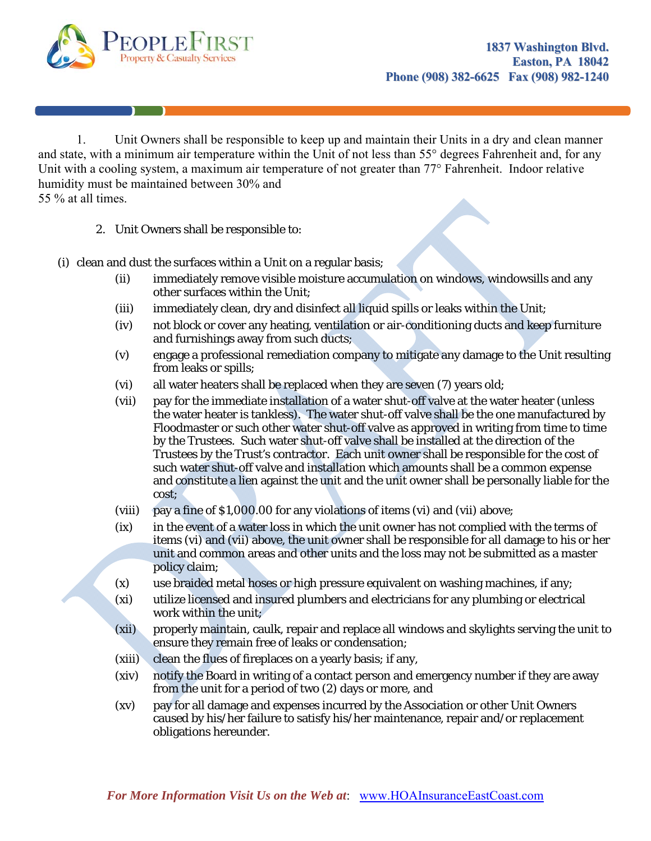

 1. Unit Owners shall be responsible to keep up and maintain their Units in a dry and clean manner and state, with a minimum air temperature within the Unit of not less than 55° degrees Fahrenheit and, for any Unit with a cooling system, a maximum air temperature of not greater than 77° Fahrenheit. Indoor relative humidity must be maintained between 30% and 55 % at all times.

2. Unit Owners shall be responsible to:

- (i) clean and dust the surfaces within a Unit on a regular basis;
	- (ii) immediately remove visible moisture accumulation on windows, windowsills and any other surfaces within the Unit;
	- (iii) immediately clean, dry and disinfect all liquid spills or leaks within the Unit;
	- (iv) not block or cover any heating, ventilation or air-conditioning ducts and keep furniture and furnishings away from such ducts;
	- (v) engage a professional remediation company to mitigate any damage to the Unit resulting from leaks or spills;
	- (vi) all water heaters shall be replaced when they are seven (7) years old;
	- (vii) pay for the immediate installation of a water shut-off valve at the water heater (unless the water heater is tankless). The water shut-off valve shall be the one manufactured by Floodmaster or such other water shut-off valve as approved in writing from time to time by the Trustees. Such water shut-off valve shall be installed at the direction of the Trustees by the Trust's contractor. Each unit owner shall be responsible for the cost of such water shut-off valve and installation which amounts shall be a common expense and constitute a lien against the unit and the unit owner shall be personally liable for the cost;
	- (viii) pay a fine of \$1,000.00 for any violations of items (vi) and (vii) above;
	- (ix) in the event of a water loss in which the unit owner has not complied with the terms of items (vi) and (vii) above, the unit owner shall be responsible for all damage to his or her unit and common areas and other units and the loss may not be submitted as a master policy claim;
	- (x) use braided metal hoses or high pressure equivalent on washing machines, if any;
	- (xi) utilize licensed and insured plumbers and electricians for any plumbing or electrical work within the unit;
	- (xii) properly maintain, caulk, repair and replace all windows and skylights serving the unit to ensure they remain free of leaks or condensation;
	- (xiii) clean the flues of fireplaces on a yearly basis; if any,
	- (xiv) notify the Board in writing of a contact person and emergency number if they are away from the unit for a period of two (2) days or more, and
	- (xv) pay for all damage and expenses incurred by the Association or other Unit Owners caused by his/her failure to satisfy his/her maintenance, repair and/or replacement obligations hereunder.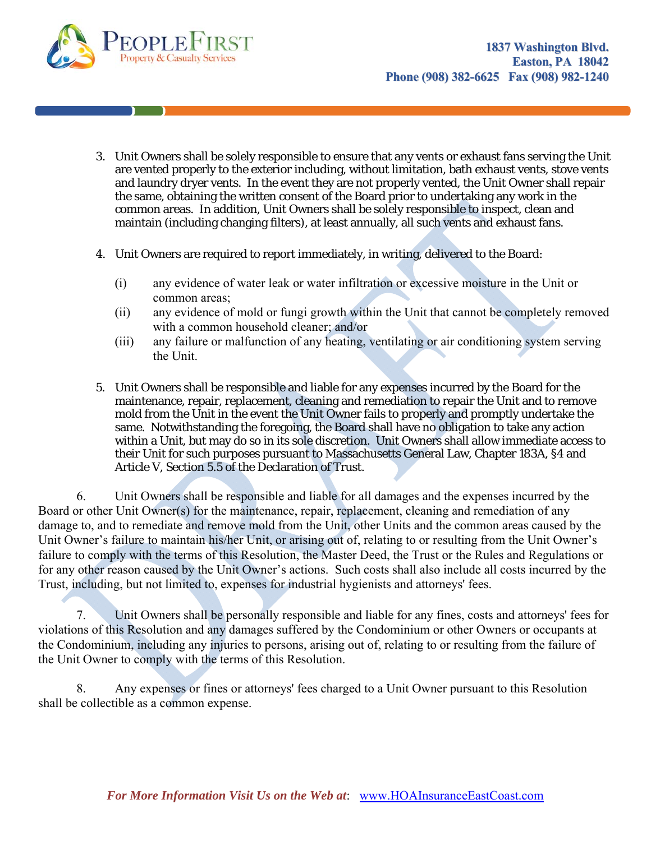

- 3. Unit Owners shall be solely responsible to ensure that any vents or exhaust fans serving the Unit are vented properly to the exterior including, without limitation, bath exhaust vents, stove vents and laundry dryer vents. In the event they are not properly vented, the Unit Owner shall repair the same, obtaining the written consent of the Board prior to undertaking any work in the common areas. In addition, Unit Owners shall be solely responsible to inspect, clean and maintain (including changing filters), at least annually, all such vents and exhaust fans.
- 4. Unit Owners are required to report immediately, in writing, delivered to the Board:
	- (i) any evidence of water leak or water infiltration or excessive moisture in the Unit or common areas;
	- (ii) any evidence of mold or fungi growth within the Unit that cannot be completely removed with a common household cleaner; and/or
	- (iii) any failure or malfunction of any heating, ventilating or air conditioning system serving the Unit.
- 5. Unit Owners shall be responsible and liable for any expenses incurred by the Board for the maintenance, repair, replacement, cleaning and remediation to repair the Unit and to remove mold from the Unit in the event the Unit Owner fails to properly and promptly undertake the same. Notwithstanding the foregoing, the Board shall have no obligation to take any action within a Unit, but may do so in its sole discretion. Unit Owners shall allow immediate access to their Unit for such purposes pursuant to Massachusetts General Law, Chapter 183A, §4 and Article V, Section 5.5 of the Declaration of Trust.

6. Unit Owners shall be responsible and liable for all damages and the expenses incurred by the Board or other Unit Owner(s) for the maintenance, repair, replacement, cleaning and remediation of any damage to, and to remediate and remove mold from the Unit, other Units and the common areas caused by the Unit Owner's failure to maintain his/her Unit, or arising out of, relating to or resulting from the Unit Owner's failure to comply with the terms of this Resolution, the Master Deed, the Trust or the Rules and Regulations or for any other reason caused by the Unit Owner's actions. Such costs shall also include all costs incurred by the Trust, including, but not limited to, expenses for industrial hygienists and attorneys' fees.

7. Unit Owners shall be personally responsible and liable for any fines, costs and attorneys' fees for violations of this Resolution and any damages suffered by the Condominium or other Owners or occupants at the Condominium, including any injuries to persons, arising out of, relating to or resulting from the failure of the Unit Owner to comply with the terms of this Resolution.

8. Any expenses or fines or attorneys' fees charged to a Unit Owner pursuant to this Resolution shall be collectible as a common expense.